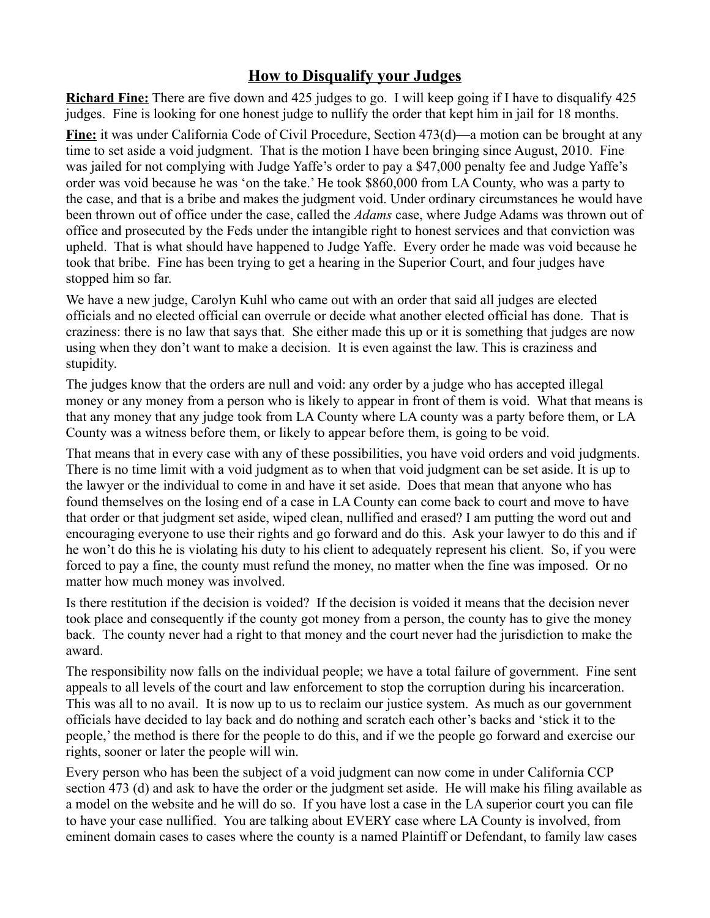## **How to Disqualify your Judges**

**Richard Fine:** There are five down and 425 judges to go. I will keep going if I have to disqualify 425 judges. Fine is looking for one honest judge to nullify the order that kept him in jail for 18 months.

**Fine:** it was under California Code of Civil Procedure, Section 473(d)—a motion can be brought at any time to set aside a void judgment. That is the motion I have been bringing since August, 2010. Fine was jailed for not complying with Judge Yaffe's order to pay a \$47,000 penalty fee and Judge Yaffe's order was void because he was 'on the take.' He took \$860,000 from LA County, who was a party to the case, and that is a bribe and makes the judgment void. Under ordinary circumstances he would have been thrown out of office under the case, called the *Adams* case, where Judge Adams was thrown out of office and prosecuted by the Feds under the intangible right to honest services and that conviction was upheld. That is what should have happened to Judge Yaffe. Every order he made was void because he took that bribe. Fine has been trying to get a hearing in the Superior Court, and four judges have stopped him so far.

We have a new judge, Carolyn Kuhl who came out with an order that said all judges are elected officials and no elected official can overrule or decide what another elected official has done. That is craziness: there is no law that says that. She either made this up or it is something that judges are now using when they don't want to make a decision. It is even against the law. This is craziness and stupidity.

The judges know that the orders are null and void: any order by a judge who has accepted illegal money or any money from a person who is likely to appear in front of them is void. What that means is that any money that any judge took from LA County where LA county was a party before them, or LA County was a witness before them, or likely to appear before them, is going to be void.

That means that in every case with any of these possibilities, you have void orders and void judgments. There is no time limit with a void judgment as to when that void judgment can be set aside. It is up to the lawyer or the individual to come in and have it set aside. Does that mean that anyone who has found themselves on the losing end of a case in LA County can come back to court and move to have that order or that judgment set aside, wiped clean, nullified and erased? I am putting the word out and encouraging everyone to use their rights and go forward and do this. Ask your lawyer to do this and if he won't do this he is violating his duty to his client to adequately represent his client. So, if you were forced to pay a fine, the county must refund the money, no matter when the fine was imposed. Or no matter how much money was involved.

Is there restitution if the decision is voided? If the decision is voided it means that the decision never took place and consequently if the county got money from a person, the county has to give the money back. The county never had a right to that money and the court never had the jurisdiction to make the award.

The responsibility now falls on the individual people; we have a total failure of government. Fine sent appeals to all levels of the court and law enforcement to stop the corruption during his incarceration. This was all to no avail. It is now up to us to reclaim our justice system. As much as our government officials have decided to lay back and do nothing and scratch each other's backs and 'stick it to the people,' the method is there for the people to do this, and if we the people go forward and exercise our rights, sooner or later the people will win.

Every person who has been the subject of a void judgment can now come in under California CCP section 473 (d) and ask to have the order or the judgment set aside. He will make his filing available as a model on the website and he will do so. If you have lost a case in the LA superior court you can file to have your case nullified. You are talking about EVERY case where LA County is involved, from eminent domain cases to cases where the county is a named Plaintiff or Defendant, to family law cases